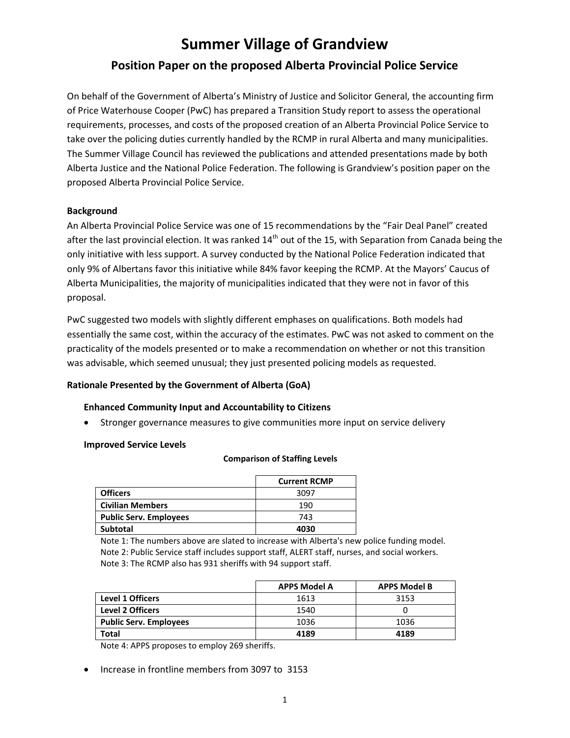# **Summer Village of Grandview Position Paper on the proposed Alberta Provincial Police Service**

On behalf of the Government of Alberta's Ministry of Justice and Solicitor General, the accounting firm of Price Waterhouse Cooper (PwC) has prepared a Transition Study report to assess the operational requirements, processes, and costs of the proposed creation of an Alberta Provincial Police Service to take over the policing duties currently handled by the RCMP in rural Alberta and many municipalities. The Summer Village Council has reviewed the publications and attended presentations made by both Alberta Justice and the National Police Federation. The following is Grandview's position paper on the proposed Alberta Provincial Police Service.

## **Background**

An Alberta Provincial Police Service was one of 15 recommendations by the "Fair Deal Panel" created after the last provincial election. It was ranked  $14<sup>th</sup>$  out of the 15, with Separation from Canada being the only initiative with less support. A survey conducted by the National Police Federation indicated that only 9% of Albertans favor this initiative while 84% favor keeping the RCMP. At the Mayors' Caucus of Alberta Municipalities, the majority of municipalities indicated that they were not in favor of this proposal.

PwC suggested two models with slightly different emphases on qualifications. Both models had essentially the same cost, within the accuracy of the estimates. PwC was not asked to comment on the practicality of the models presented or to make a recommendation on whether or not this transition was advisable, which seemed unusual; they just presented policing models as requested.

# **Rationale Presented by the Government of Alberta (GoA)**

## **Enhanced Community Input and Accountability to Citizens**

• Stronger governance measures to give communities more input on service delivery

## **Improved Service Levels**

#### **Comparison of Staffing Levels**

|                               | <b>Current RCMP</b> |
|-------------------------------|---------------------|
| <b>Officers</b>               | 3097                |
| <b>Civilian Members</b>       | 190                 |
| <b>Public Serv. Employees</b> | 743                 |
| <b>Subtotal</b>               | 4030                |

Note 1: The numbers above are slated to increase with Alberta's new police funding model. Note 2: Public Service staff includes support staff, ALERT staff, nurses, and social workers. Note 3: The RCMP also has 931 sheriffs with 94 support staff.

|                               | <b>APPS Model A</b> | <b>APPS Model B</b> |
|-------------------------------|---------------------|---------------------|
| <b>Level 1 Officers</b>       | 1613                | 3153                |
| <b>Level 2 Officers</b>       | 1540                |                     |
| <b>Public Serv. Employees</b> | 1036                | 1036                |
| Total                         | 4189                | 4189                |

Note 4: APPS proposes to employ 269 sheriffs.

Increase in frontline members from 3097 to 3153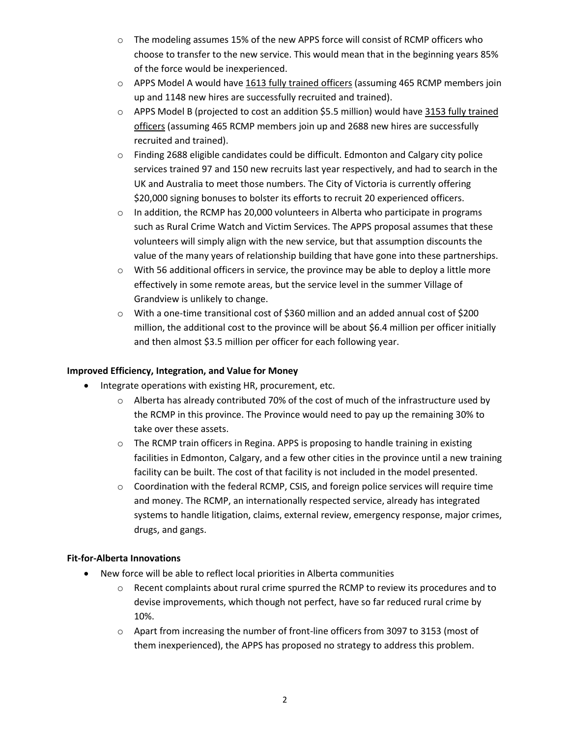- o The modeling assumes 15% of the new APPS force will consist of RCMP officers who choose to transfer to the new service. This would mean that in the beginning years 85% of the force would be inexperienced.
- $\circ$  APPS Model A would have 1613 fully trained officers (assuming 465 RCMP members join up and 1148 new hires are successfully recruited and trained).
- o APPS Model B (projected to cost an addition \$5.5 million) would have 3153 fully trained officers (assuming 465 RCMP members join up and 2688 new hires are successfully recruited and trained).
- $\circ$  Finding 2688 eligible candidates could be difficult. Edmonton and Calgary city police services trained 97 and 150 new recruits last year respectively, and had to search in the UK and Australia to meet those numbers. The City of Victoria is currently offering \$20,000 signing bonuses to bolster its efforts to recruit 20 experienced officers.
- $\circ$  In addition, the RCMP has 20,000 volunteers in Alberta who participate in programs such as Rural Crime Watch and Victim Services. The APPS proposal assumes that these volunteers will simply align with the new service, but that assumption discounts the value of the many years of relationship building that have gone into these partnerships.
- $\circ$  With 56 additional officers in service, the province may be able to deploy a little more effectively in some remote areas, but the service level in the summer Village of Grandview is unlikely to change.
- $\circ$  With a one-time transitional cost of \$360 million and an added annual cost of \$200 million, the additional cost to the province will be about \$6.4 million per officer initially and then almost \$3.5 million per officer for each following year.

# **Improved Efficiency, Integration, and Value for Money**

- Integrate operations with existing HR, procurement, etc.
	- $\circ$  Alberta has already contributed 70% of the cost of much of the infrastructure used by the RCMP in this province. The Province would need to pay up the remaining 30% to take over these assets.
	- $\circ$  The RCMP train officers in Regina. APPS is proposing to handle training in existing facilities in Edmonton, Calgary, and a few other cities in the province until a new training facility can be built. The cost of that facility is not included in the model presented.
	- o Coordination with the federal RCMP, CSIS, and foreign police services will require time and money. The RCMP, an internationally respected service, already has integrated systems to handle litigation, claims, external review, emergency response, major crimes, drugs, and gangs.

# **Fit-for-Alberta Innovations**

- New force will be able to reflect local priorities in Alberta communities
	- $\circ$  Recent complaints about rural crime spurred the RCMP to review its procedures and to devise improvements, which though not perfect, have so far reduced rural crime by 10%.
	- $\circ$  Apart from increasing the number of front-line officers from 3097 to 3153 (most of them inexperienced), the APPS has proposed no strategy to address this problem.